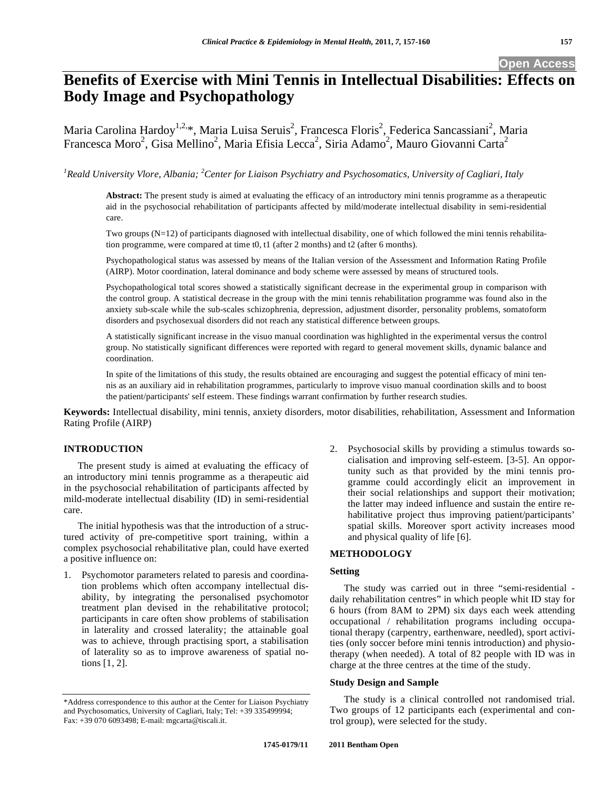# **Benefits of Exercise with Mini Tennis in Intellectual Disabilities: Effects on Body Image and Psychopathology**

Maria Carolina Hardoy<sup>1,2,\*</sup>, Maria Luisa Seruis<sup>2</sup>, Francesca Floris<sup>2</sup>, Federica Sancassiani<sup>2</sup>, Maria Francesca Moro<sup>2</sup>, Gisa Mellino<sup>2</sup>, Maria Efisia Lecca<sup>2</sup>, Siria Adamo<sup>2</sup>, Mauro Giovanni Carta<sup>2</sup>

<sup>1</sup> Reald University Vlore, Albania; <sup>2</sup> Center for Liaison Psychiatry and Psychosomatics, University of Cagliari, Italy

**Abstract:** The present study is aimed at evaluating the efficacy of an introductory mini tennis programme as a therapeutic aid in the psychosocial rehabilitation of participants affected by mild/moderate intellectual disability in semi-residential care.

Two groups (N=12) of participants diagnosed with intellectual disability, one of which followed the mini tennis rehabilitation programme, were compared at time t0, t1 (after 2 months) and t2 (after 6 months).

Psychopathological status was assessed by means of the Italian version of the Assessment and Information Rating Profile (AIRP). Motor coordination, lateral dominance and body scheme were assessed by means of structured tools.

Psychopathological total scores showed a statistically significant decrease in the experimental group in comparison with the control group. A statistical decrease in the group with the mini tennis rehabilitation programme was found also in the anxiety sub-scale while the sub-scales schizophrenia, depression, adjustment disorder, personality problems, somatoform disorders and psychosexual disorders did not reach any statistical difference between groups.

A statistically significant increase in the visuo manual coordination was highlighted in the experimental versus the control group. No statistically significant differences were reported with regard to general movement skills, dynamic balance and coordination.

In spite of the limitations of this study, the results obtained are encouraging and suggest the potential efficacy of mini tennis as an auxiliary aid in rehabilitation programmes, particularly to improve visuo manual coordination skills and to boost the patient/participants' self esteem. These findings warrant confirmation by further research studies.

**Keywords:** Intellectual disability, mini tennis, anxiety disorders, motor disabilities, rehabilitation, Assessment and Information Rating Profile (AIRP)

## **INTRODUCTION**

The present study is aimed at evaluating the efficacy of an introductory mini tennis programme as a therapeutic aid in the psychosocial rehabilitation of participants affected by mild-moderate intellectual disability (ID) in semi-residential care.

The initial hypothesis was that the introduction of a structured activity of pre-competitive sport training, within a complex psychosocial rehabilitative plan, could have exerted a positive influence on:

1. Psychomotor parameters related to paresis and coordination problems which often accompany intellectual disability, by integrating the personalised psychomotor treatment plan devised in the rehabilitative protocol; participants in care often show problems of stabilisation in laterality and crossed laterality; the attainable goal was to achieve, through practising sport, a stabilisation of laterality so as to improve awareness of spatial notions [1, 2].

2. Psychosocial skills by providing a stimulus towards socialisation and improving self-esteem. [3-5]. An opportunity such as that provided by the mini tennis programme could accordingly elicit an improvement in their social relationships and support their motivation; the latter may indeed influence and sustain the entire rehabilitative project thus improving patient/participants' spatial skills. Moreover sport activity increases mood and physical quality of life [6].

# **METHODOLOGY**

## **Setting**

The study was carried out in three "semi-residential daily rehabilitation centres" in which people whit ID stay for 6 hours (from 8AM to 2PM) six days each week attending occupational / rehabilitation programs including occupational therapy (carpentry, earthenware, needled), sport activities (only soccer before mini tennis introduction) and physiotherapy (when needed). A total of 82 people with ID was in charge at the three centres at the time of the study.

## **Study Design and Sample**

The study is a clinical controlled not randomised trial. Two groups of 12 participants each (experimental and control group), were selected for the study.

<sup>\*</sup>Address correspondence to this author at the Center for Liaison Psychiatry and Psychosomatics, University of Cagliari, Italy; Tel: +39 335499994; Fax: +39 070 6093498; E-mail: mgcarta@tiscali.it.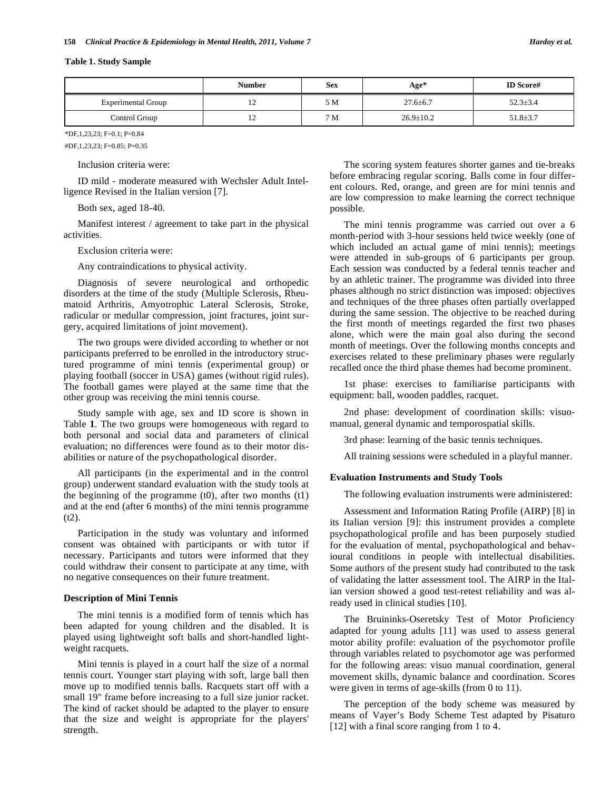|                           | <b>Number</b>  | Sex            | Age*            | <b>ID</b> Score# |
|---------------------------|----------------|----------------|-----------------|------------------|
| <b>Experimental Group</b> | $\overline{ }$ | 5 M            | $27.6 \pm 6.7$  | $52.3 \pm 3.4$   |
| Control Group             | ∸              | 7 <sub>M</sub> | $26.9 \pm 10.2$ | $51.8 \pm 3.7$   |

#### **Table 1. Study Sample**

\*DF,1,23,23; F=0.1; P=0.84

#DF,1,23,23; F=0.85; P=0.35

#### Inclusion criteria were:

ID mild - moderate measured with Wechsler Adult Intelligence Revised in the Italian version [7].

Both sex, aged 18-40.

Manifest interest / agreement to take part in the physical activities.

Exclusion criteria were:

Any contraindications to physical activity.

Diagnosis of severe neurological and orthopedic disorders at the time of the study (Multiple Sclerosis, Rheumatoid Arthritis, Amyotrophic Lateral Sclerosis, Stroke, radicular or medullar compression, joint fractures, joint surgery, acquired limitations of joint movement).

The two groups were divided according to whether or not participants preferred to be enrolled in the introductory structured programme of mini tennis (experimental group) or playing football (soccer in USA) games (without rigid rules). The football games were played at the same time that the other group was receiving the mini tennis course.

Study sample with age, sex and ID score is shown in Table **1**. The two groups were homogeneous with regard to both personal and social data and parameters of clinical evaluation; no differences were found as to their motor disabilities or nature of the psychopathological disorder.

All participants (in the experimental and in the control group) underwent standard evaluation with the study tools at the beginning of the programme  $(t0)$ , after two months  $(t1)$ and at the end (after 6 months) of the mini tennis programme (t2).

Participation in the study was voluntary and informed consent was obtained with participants or with tutor if necessary. Participants and tutors were informed that they could withdraw their consent to participate at any time, with no negative consequences on their future treatment.

#### **Description of Mini Tennis**

The mini tennis is a modified form of tennis which has been adapted for young children and the disabled. It is played using lightweight soft balls and short-handled lightweight racquets.

Mini tennis is played in a court half the size of a normal tennis court. Younger start playing with soft, large ball then move up to modified tennis balls. Racquets start off with a small 19" frame before increasing to a full size junior racket. The kind of racket should be adapted to the player to ensure that the size and weight is appropriate for the players' strength.

The scoring system features shorter games and tie-breaks before embracing regular scoring. Balls come in four different colours. Red, orange, and green are for mini tennis and are low compression to make learning the correct technique possible.

The mini tennis programme was carried out over a 6 month-period with 3-hour sessions held twice weekly (one of which included an actual game of mini tennis); meetings were attended in sub-groups of 6 participants per group. Each session was conducted by a federal tennis teacher and by an athletic trainer. The programme was divided into three phases although no strict distinction was imposed: objectives and techniques of the three phases often partially overlapped during the same session. The objective to be reached during the first month of meetings regarded the first two phases alone, which were the main goal also during the second month of meetings. Over the following months concepts and exercises related to these preliminary phases were regularly recalled once the third phase themes had become prominent.

1st phase: exercises to familiarise participants with equipment: ball, wooden paddles, racquet.

2nd phase: development of coordination skills: visuomanual, general dynamic and temporospatial skills.

3rd phase: learning of the basic tennis techniques.

All training sessions were scheduled in a playful manner.

## **Evaluation Instruments and Study Tools**

The following evaluation instruments were administered:

Assessment and Information Rating Profile (AIRP) [8] in its Italian version [9]: this instrument provides a complete psychopathological profile and has been purposely studied for the evaluation of mental, psychopathological and behavioural conditions in people with intellectual disabilities. Some authors of the present study had contributed to the task of validating the latter assessment tool. The AIRP in the Italian version showed a good test-retest reliability and was already used in clinical studies [10].

The Bruininks-Oseretsky Test of Motor Proficiency adapted for young adults [11] was used to assess general motor ability profile: evaluation of the psychomotor profile through variables related to psychomotor age was performed for the following areas: visuo manual coordination, general movement skills, dynamic balance and coordination. Scores were given in terms of age-skills (from 0 to 11).

The perception of the body scheme was measured by means of Vayer's Body Scheme Test adapted by Pisaturo [12] with a final score ranging from 1 to 4.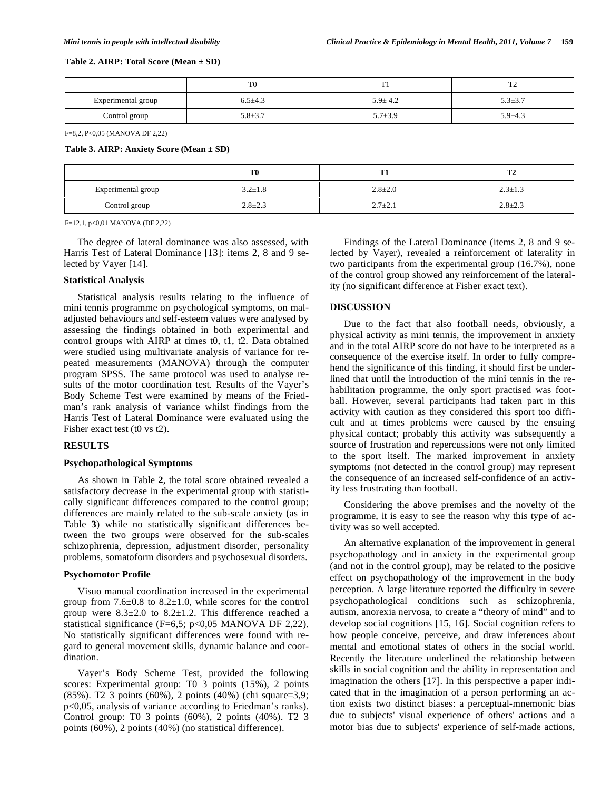## **Table 2. AIRP: Total Score (Mean ± SD)**

|                    | $\mathbf{m}$ c<br>ιv | m.            | mo<br>$\sim$  |
|--------------------|----------------------|---------------|---------------|
| Experimental group | $6.5 + 4.3$          | $5.9 \pm 4.2$ | $5.3 \pm 3.7$ |
| Control group      | $5.8 \pm 3.7$        | $5.7 + 3.9$   | $5.9 + 4.3$   |

F=8,2, P<0,05 (MANOVA DF 2,22)

#### **Table 3. AIRP: Anxiety Score (Mean ± SD)**

|                    | T <sub>0</sub> | --            | T <sub>2</sub> |
|--------------------|----------------|---------------|----------------|
| Experimental group | $3.2 \pm 1.8$  | $2.8 \pm 2.0$ | $2.3 \pm 1.3$  |
| Control group      | $2.8 \pm 2.3$  | $2.7 \pm 2.1$ | $2.8 \pm 2.3$  |

F=12,1, p<0,01 MANOVA (DF 2,22)

The degree of lateral dominance was also assessed, with Harris Test of Lateral Dominance [13]: items 2, 8 and 9 selected by Vayer [14].

## **Statistical Analysis**

Statistical analysis results relating to the influence of mini tennis programme on psychological symptoms, on maladjusted behaviours and self-esteem values were analysed by assessing the findings obtained in both experimental and control groups with AIRP at times t0, t1, t2. Data obtained were studied using multivariate analysis of variance for repeated measurements (MANOVA) through the computer program SPSS. The same protocol was used to analyse results of the motor coordination test. Results of the Vayer's Body Scheme Test were examined by means of the Friedman's rank analysis of variance whilst findings from the Harris Test of Lateral Dominance were evaluated using the Fisher exact test (t0 vs t2).

## **RESULTS**

#### **Psychopathological Symptoms**

As shown in Table **2**, the total score obtained revealed a satisfactory decrease in the experimental group with statistically significant differences compared to the control group; differences are mainly related to the sub-scale anxiety (as in Table **3**) while no statistically significant differences between the two groups were observed for the sub-scales schizophrenia, depression, adjustment disorder, personality problems, somatoform disorders and psychosexual disorders.

#### **Psychomotor Profile**

Visuo manual coordination increased in the experimental group from  $7.6\pm0.8$  to  $8.2\pm1.0$ , while scores for the control group were  $8.3\pm2.0$  to  $8.2\pm1.2$ . This difference reached a statistical significance (F=6,5;  $p<0,05$  MANOVA DF 2,22). No statistically significant differences were found with regard to general movement skills, dynamic balance and coordination.

Vayer's Body Scheme Test, provided the following scores: Experimental group: T0 3 points (15%), 2 points (85%). T2 3 points (60%), 2 points (40%) (chi square=3,9; p<0,05, analysis of variance according to Friedman's ranks). Control group: T0 3 points (60%), 2 points (40%). T2 3 points (60%), 2 points (40%) (no statistical difference).

Findings of the Lateral Dominance (items 2, 8 and 9 selected by Vayer), revealed a reinforcement of laterality in two participants from the experimental group (16.7%), none of the control group showed any reinforcement of the laterality (no significant difference at Fisher exact text).

## **DISCUSSION**

Due to the fact that also football needs, obviously, a physical activity as mini tennis, the improvement in anxiety and in the total AIRP score do not have to be interpreted as a consequence of the exercise itself. In order to fully comprehend the significance of this finding, it should first be underlined that until the introduction of the mini tennis in the rehabilitation programme, the only sport practised was football. However, several participants had taken part in this activity with caution as they considered this sport too difficult and at times problems were caused by the ensuing physical contact; probably this activity was subsequently a source of frustration and repercussions were not only limited to the sport itself. The marked improvement in anxiety symptoms (not detected in the control group) may represent the consequence of an increased self-confidence of an activity less frustrating than football.

Considering the above premises and the novelty of the programme, it is easy to see the reason why this type of activity was so well accepted.

An alternative explanation of the improvement in general psychopathology and in anxiety in the experimental group (and not in the control group), may be related to the positive effect on psychopathology of the improvement in the body perception. A large literature reported the difficulty in severe psychopathological conditions such as schizophrenia, autism, anorexia nervosa, to create a "theory of mind" and to develop social cognitions [15, 16]. Social cognition refers to how people conceive, perceive, and draw inferences about mental and emotional states of others in the social world. Recently the literature underlined the relationship between skills in social cognition and the ability in representation and imagination the others [17]. In this perspective a paper indicated that in the imagination of a person performing an action exists two distinct biases: a perceptual-mnemonic bias due to subjects' visual experience of others' actions and a motor bias due to subjects' experience of self-made actions,